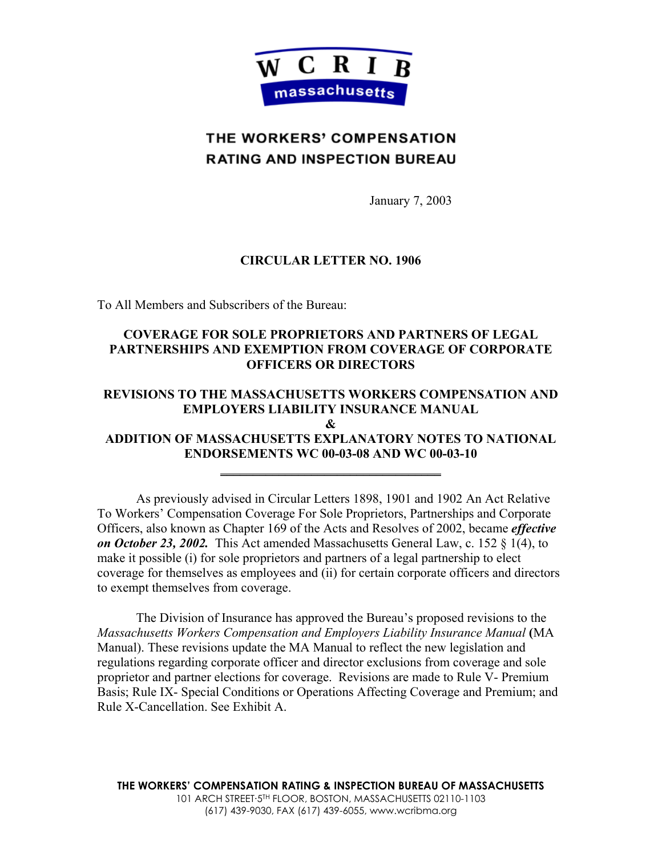

# THE WORKERS' COMPENSATION **RATING AND INSPECTION BUREAU**

January 7, 2003

# **CIRCULAR LETTER NO. 1906**

To All Members and Subscribers of the Bureau:

# **COVERAGE FOR SOLE PROPRIETORS AND PARTNERS OF LEGAL PARTNERSHIPS AND EXEMPTION FROM COVERAGE OF CORPORATE OFFICERS OR DIRECTORS**

# **REVISIONS TO THE MASSACHUSETTS WORKERS COMPENSATION AND EMPLOYERS LIABILITY INSURANCE MANUAL**

**&** 

# **ADDITION OF MASSACHUSETTS EXPLANATORY NOTES TO NATIONAL ENDORSEMENTS WC 00-03-08 AND WC 00-03-10**

**\_\_\_\_\_\_\_\_\_\_\_\_\_\_\_\_\_\_\_\_\_\_\_\_\_\_\_\_\_\_\_\_\_\_**

 As previously advised in Circular Letters 1898, 1901 and 1902 An Act Relative To Workers' Compensation Coverage For Sole Proprietors, Partnerships and Corporate Officers, also known as Chapter 169 of the Acts and Resolves of 2002, became *effective on October 23, 2002.* This Act amended Massachusetts General Law, c. 152 § 1(4), to make it possible (i) for sole proprietors and partners of a legal partnership to elect coverage for themselves as employees and (ii) for certain corporate officers and directors to exempt themselves from coverage.

The Division of Insurance has approved the Bureau's proposed revisions to the *Massachusetts Workers Compensation and Employers Liability Insurance Manual* **(**MA Manual). These revisions update the MA Manual to reflect the new legislation and regulations regarding corporate officer and director exclusions from coverage and sole proprietor and partner elections for coverage. Revisions are made to Rule V- Premium Basis; Rule IX- Special Conditions or Operations Affecting Coverage and Premium; and Rule X-Cancellation. See Exhibit A.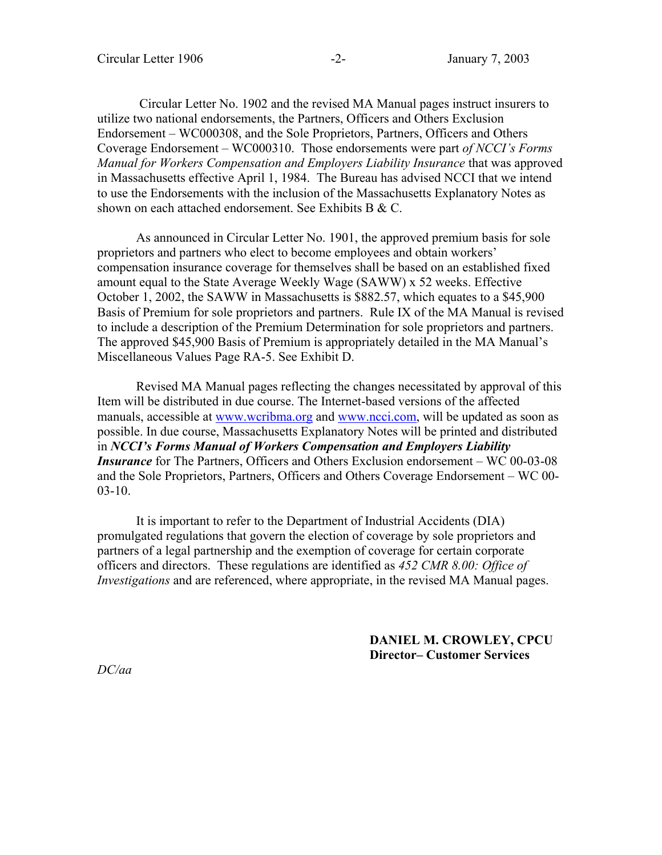Circular Letter No. 1902 and the revised MA Manual pages instruct insurers to utilize two national endorsements, the Partners, Officers and Others Exclusion Endorsement – WC000308, and the Sole Proprietors, Partners, Officers and Others Coverage Endorsement – WC000310. Those endorsements were part *of NCCI's Forms Manual for Workers Compensation and Employers Liability Insurance* that was approved in Massachusetts effective April 1, 1984. The Bureau has advised NCCI that we intend to use the Endorsements with the inclusion of the Massachusetts Explanatory Notes as shown on each attached endorsement. See Exhibits B & C.

 As announced in Circular Letter No. 1901, the approved premium basis for sole proprietors and partners who elect to become employees and obtain workers' compensation insurance coverage for themselves shall be based on an established fixed amount equal to the State Average Weekly Wage (SAWW) x 52 weeks. Effective October 1, 2002, the SAWW in Massachusetts is \$882.57, which equates to a \$45,900 Basis of Premium for sole proprietors and partners. Rule IX of the MA Manual is revised to include a description of the Premium Determination for sole proprietors and partners. The approved \$45,900 Basis of Premium is appropriately detailed in the MA Manual's Miscellaneous Values Page RA-5. See Exhibit D.

Revised MA Manual pages reflecting the changes necessitated by approval of this Item will be distributed in due course. The Internet-based versions of the affected manuals, accessible at www.wcribma.org and www.ncci.com, will be updated as soon as possible. In due course, Massachusetts Explanatory Notes will be printed and distributed in *NCCI's Forms Manual of Workers Compensation and Employers Liability Insurance* for The Partners, Officers and Others Exclusion endorsement – WC 00-03-08 and the Sole Proprietors, Partners, Officers and Others Coverage Endorsement – WC 00- 03-10.

It is important to refer to the Department of Industrial Accidents (DIA) promulgated regulations that govern the election of coverage by sole proprietors and partners of a legal partnership and the exemption of coverage for certain corporate officers and directors. These regulations are identified as *452 CMR 8.00: Office of Investigations* and are referenced, where appropriate, in the revised MA Manual pages.

> **DANIEL M. CROWLEY, CPCU Director– Customer Services**

*DC/aa*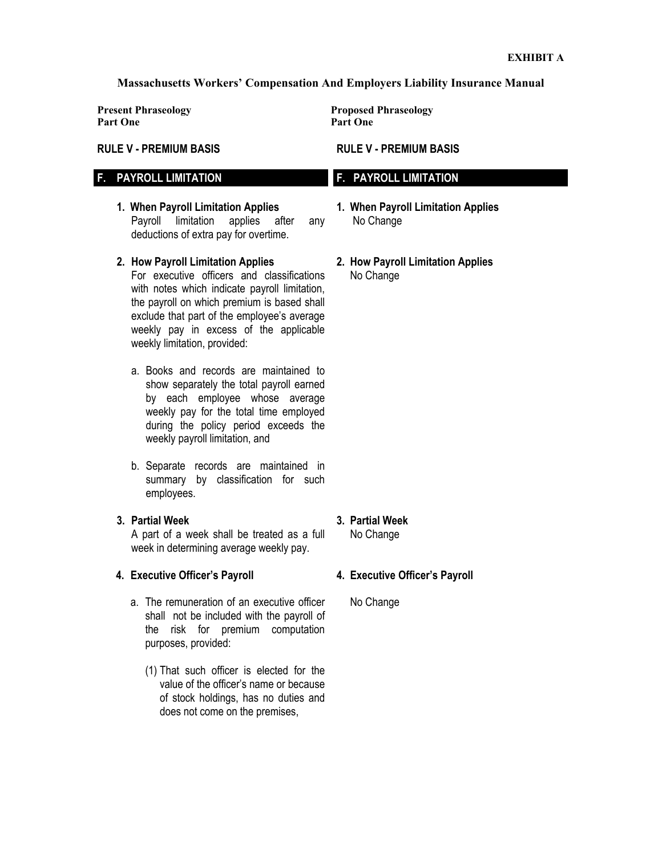#### **Massachusetts Workers' Compensation And Employers Liability Insurance Manual**

**Part One Part One**

#### **RULE V - PREMIUM BASIS**

# **F. PAYROLL LIMITATION**

- **1. When Payroll Limitation Applies**  Payroll limitation applies after any deductions of extra pay for overtime.
- **2. How Payroll Limitation Applies**  For executive officers and classifications with notes which indicate payroll limitation, the payroll on which premium is based shall exclude that part of the employee's average weekly pay in excess of the applicable weekly limitation, provided:
	- a. Books and records are maintained to show separately the total payroll earned by each employee whose average weekly pay for the total time employed during the policy period exceeds the weekly payroll limitation, and
	- b. Separate records are maintained in summary by classification for such employees.
- **3. Partial Week**

 A part of a week shall be treated as a full week in determining average weekly pay.

## **4. Executive Officer's Payroll**

- a. The remuneration of an executive officer shall not be included with the payroll of the risk for premium computation purposes, provided:
	- (1) That such officer is elected for the value of the officer's name or because of stock holdings, has no duties and does not come on the premises,

**Present Phraseology Proposed Phraseology** 

## **RULE V - PREMIUM BASIS**

# **F. PAYROLL LIMITATION**

- **1. When Payroll Limitation Applies** No Change
- **2. How Payroll Limitation Applies**  No Change

**3. Partial Week** 

No Change

# **4. Executive Officer's Payroll**

No Change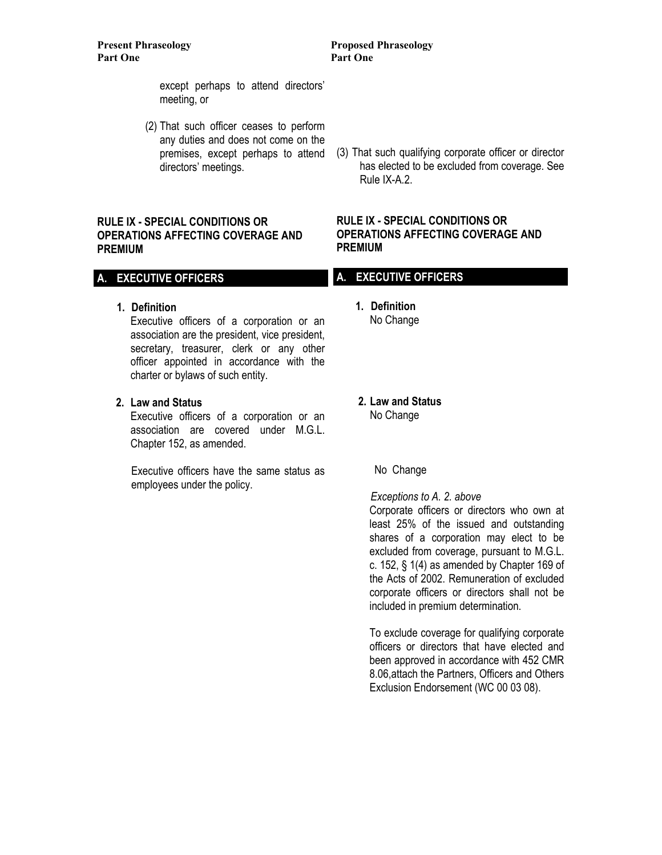**Part One** Part One

# **Present Phraseology Proposed Phraseology**

 except perhaps to attend directors' meeting, or

 (2) That such officer ceases to perform any duties and does not come on the premises, except perhaps to attend directors' meetings.

## **RULE IX - SPECIAL CONDITIONS OR OPERATIONS AFFECTING COVERAGE AND PREMIUM**

# **A. EXECUTIVE OFFICERS**

**1. Definition** 

 Executive officers of a corporation or an association are the president, vice president, secretary, treasurer, clerk or any other officer appointed in accordance with the charter or bylaws of such entity.

**2. Law and Status**

 Executive officers of a corporation or an association are covered under M.G.L. Chapter 152, as amended.

 Executive officers have the same status as employees under the policy.

(3) That such qualifying corporate officer or director has elected to be excluded from coverage. See Rule IX-A.2.

## **RULE IX - SPECIAL CONDITIONS OR OPERATIONS AFFECTING COVERAGE AND PREMIUM**

## **A. EXECUTIVE OFFICERS**

 **1. Definition**  No Change

 **2. Law and Status** No Change

No Change

 *Exceptions to A. 2. above*  Corporate officers or directors who own at least 25% of the issued and outstanding shares of a corporation may elect to be excluded from coverage, pursuant to M.G.L. c. 152, § 1(4) as amended by Chapter 169 of the Acts of 2002. Remuneration of excluded corporate officers or directors shall not be included in premium determination.

To exclude coverage for qualifying corporate officers or directors that have elected and been approved in accordance with 452 CMR 8.06,attach the Partners, Officers and Others Exclusion Endorsement (WC 00 03 08).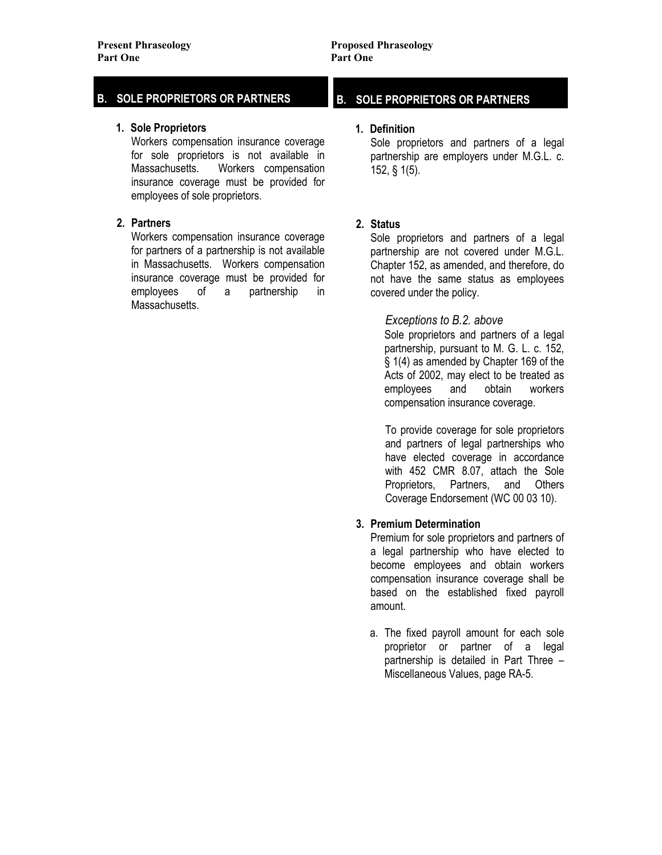# **B. SOLE PROPRIETORS OR PARTNERS**

#### **1. Sole Proprietors**

Workers compensation insurance coverage for sole proprietors is not available in Massachusetts. Workers compensation insurance coverage must be provided for employees of sole proprietors.

## **2. Partners**

 Workers compensation insurance coverage for partners of a partnership is not available in Massachusetts. Workers compensation insurance coverage must be provided for employees of a partnership in Massachusetts.

# **B. SOLE PROPRIETORS OR PARTNERS**

#### **1. Definition**

Sole proprietors and partners of a legal partnership are employers under M.G.L. c. 152, § 1(5).

# **2. Status**

 Sole proprietors and partners of a legal partnership are not covered under M.G.L. Chapter 152, as amended, and therefore, do not have the same status as employees covered under the policy.

# *Exceptions to B.2. above*

 Sole proprietors and partners of a legal partnership, pursuant to M. G. L. c. 152, § 1(4) as amended by Chapter 169 of the Acts of 2002, may elect to be treated as employees and obtain workers compensation insurance coverage.

To provide coverage for sole proprietors and partners of legal partnerships who have elected coverage in accordance with 452 CMR 8.07, attach the Sole Proprietors, Partners, and Others Coverage Endorsement (WC 00 03 10).

# **3. Premium Determination**

 Premium for sole proprietors and partners of a legal partnership who have elected to become employees and obtain workers compensation insurance coverage shall be based on the established fixed payroll amount.

 a. The fixed payroll amount for each sole proprietor or partner of a legal partnership is detailed in Part Three – Miscellaneous Values, page RA-5.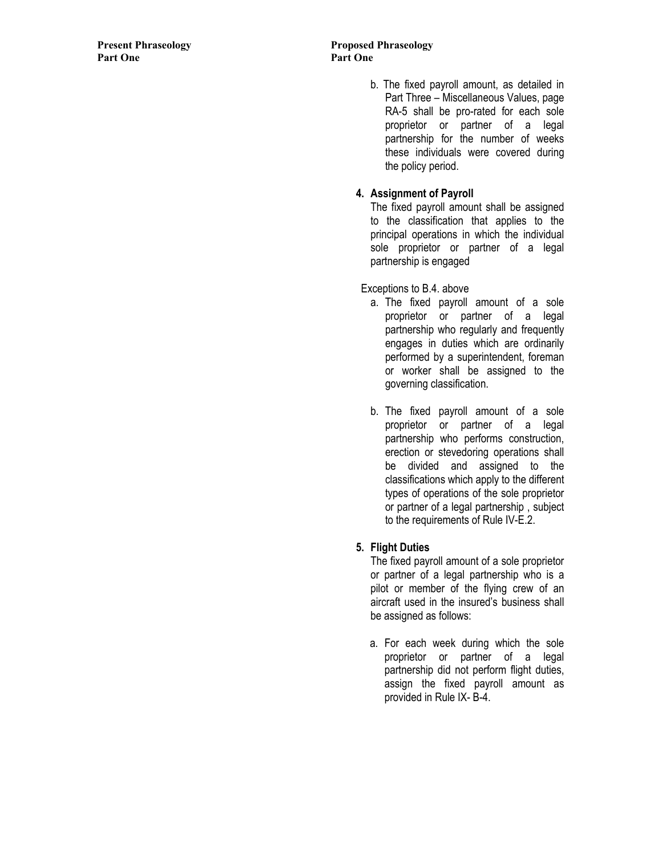b. The fixed payroll amount, as detailed in Part Three – Miscellaneous Values, page RA-5 shall be pro-rated for each sole proprietor or partner of a legal partnership for the number of weeks these individuals were covered during the policy period.

# **4. Assignment of Payroll**

 The fixed payroll amount shall be assigned to the classification that applies to the principal operations in which the individual sole proprietor or partner of a legal partnership is engaged

Exceptions to B.4. above

- a. The fixed payroll amount of a sole proprietor or partner of a legal partnership who regularly and frequently engages in duties which are ordinarily performed by a superintendent, foreman or worker shall be assigned to the governing classification.
- b. The fixed payroll amount of a sole proprietor or partner of a legal partnership who performs construction, erection or stevedoring operations shall be divided and assigned to the classifications which apply to the different types of operations of the sole proprietor or partner of a legal partnership , subject to the requirements of Rule IV-E.2.

# **5. Flight Duties**

 The fixed payroll amount of a sole proprietor or partner of a legal partnership who is a pilot or member of the flying crew of an aircraft used in the insured's business shall be assigned as follows:

 a. For each week during which the sole proprietor or partner of a legal partnership did not perform flight duties, assign the fixed payroll amount as provided in Rule IX- B-4.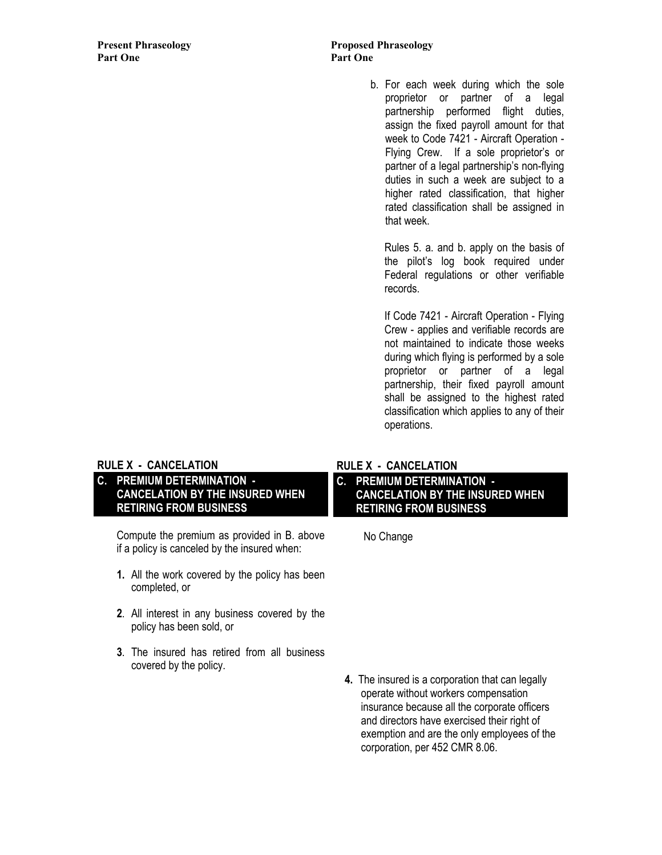# **Present Phraseology Proposed Phraseology**

 b. For each week during which the sole proprietor or partner of a legal partnership performed flight duties, assign the fixed payroll amount for that week to Code 7421 - Aircraft Operation - Flying Crew. If a sole proprietor's or partner of a legal partnership's non-flying duties in such a week are subject to a higher rated classification, that higher rated classification shall be assigned in that week.

 Rules 5. a. and b. apply on the basis of the pilot's log book required under Federal regulations or other verifiable records.

 If Code 7421 - Aircraft Operation - Flying Crew - applies and verifiable records are not maintained to indicate those weeks during which flying is performed by a sole proprietor or partner of a legal partnership, their fixed payroll amount shall be assigned to the highest rated classification which applies to any of their operations.

# **RULE X - CANCELATION**

# **C. PREMIUM DETERMINATION - CANCELATION BY THE INSURED WHEN RETIRING FROM BUSINESS**

 Compute the premium as provided in B. above if a policy is canceled by the insured when:

- **1.** All the work covered by the policy has been completed, or
- **2**. All interest in any business covered by the policy has been sold, or
- **3**. The insured has retired from all business covered by the policy.

# **RULE X - CANCELATION**

**C. PREMIUM DETERMINATION - CANCELATION BY THE INSURED WHEN RETIRING FROM BUSINESS** 

No Change

 **4.** The insured is a corporation that can legally operate without workers compensation insurance because all the corporate officers and directors have exercised their right of exemption and are the only employees of the corporation, per 452 CMR 8.06.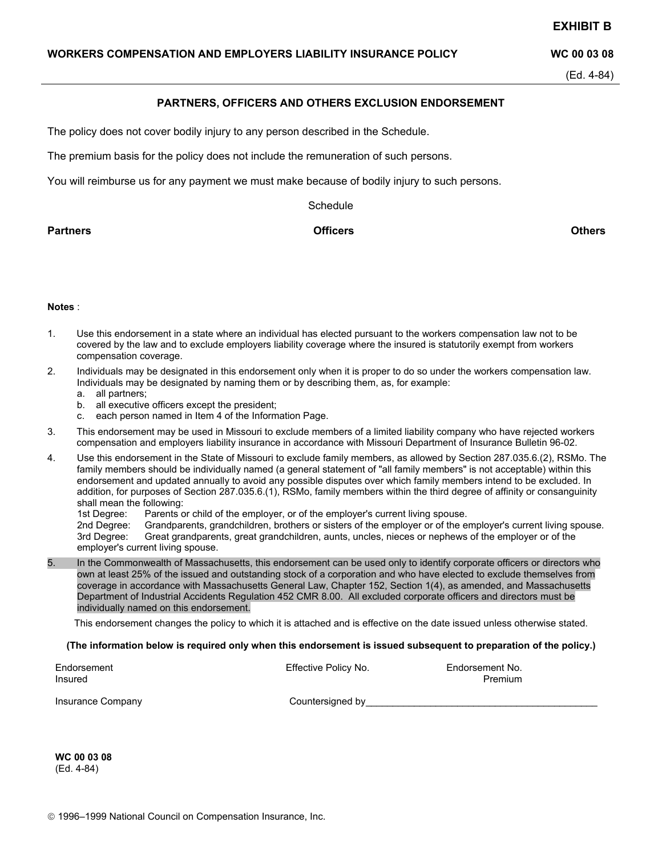#### **EXHIBIT B**

#### **WORKERS COMPENSATION AND EMPLOYERS LIABILITY INSURANCE POLICY WAS UPSEX 00 03 08**

(Ed. 4-84)

#### **PARTNERS, OFFICERS AND OTHERS EXCLUSION ENDORSEMENT**

The policy does not cover bodily injury to any person described in the Schedule.

The premium basis for the policy does not include the remuneration of such persons.

You will reimburse us for any payment we must make because of bodily injury to such persons.

**Schedule** 

**Partners Officers Others**

#### **Notes** :

- 1. Use this endorsement in a state where an individual has elected pursuant to the workers compensation law not to be covered by the law and to exclude employers liability coverage where the insured is statutorily exempt from workers compensation coverage.
- 2. Individuals may be designated in this endorsement only when it is proper to do so under the workers compensation law. Individuals may be designated by naming them or by describing them, as, for example:
	- a. all partners;
	- b. all executive officers except the president;
	- c. each person named in Item 4 of the Information Page.
- 3. This endorsement may be used in Missouri to exclude members of a limited liability company who have rejected workers compensation and employers liability insurance in accordance with Missouri Department of Insurance Bulletin 96-02.
- 4. Use this endorsement in the State of Missouri to exclude family members, as allowed by Section 287.035.6.(2), RSMo. The family members should be individually named (a general statement of "all family members" is not acceptable) within this endorsement and updated annually to avoid any possible disputes over which family members intend to be excluded. In addition, for purposes of Section 287.035.6.(1), RSMo, family members within the third degree of affinity or consanguinity shall mean the following:

1st Degree: Parents or child of the employer, or of the employer's current living spouse.

2nd Degree: Grandparents, grandchildren, brothers or sisters of the employer or of the employer's current living spouse.<br>3rd Degree: Great grandparents, great grandchildren, aunts, uncles, nieces or nephews of the employer Great grandparents, great grandchildren, aunts, uncles, nieces or nephews of the employer or of the employer's current living spouse.

5. In the Commonwealth of Massachusetts, this endorsement can be used only to identify corporate officers or directors who own at least 25% of the issued and outstanding stock of a corporation and who have elected to exclude themselves from coverage in accordance with Massachusetts General Law, Chapter 152, Section 1(4), as amended, and Massachusetts Department of Industrial Accidents Regulation 452 CMR 8.00. All excluded corporate officers and directors must be individually named on this endorsement.

This endorsement changes the policy to which it is attached and is effective on the date issued unless otherwise stated.

#### **(The information below is required only when this endorsement is issued subsequent to preparation of the policy.)**

| Endorsement<br>Insured | Effective Policy No. | Endorsement No.<br>Premium |
|------------------------|----------------------|----------------------------|
| Insurance Company      | Countersigned by     |                            |

**WC 00 03 08**  (Ed. 4-84)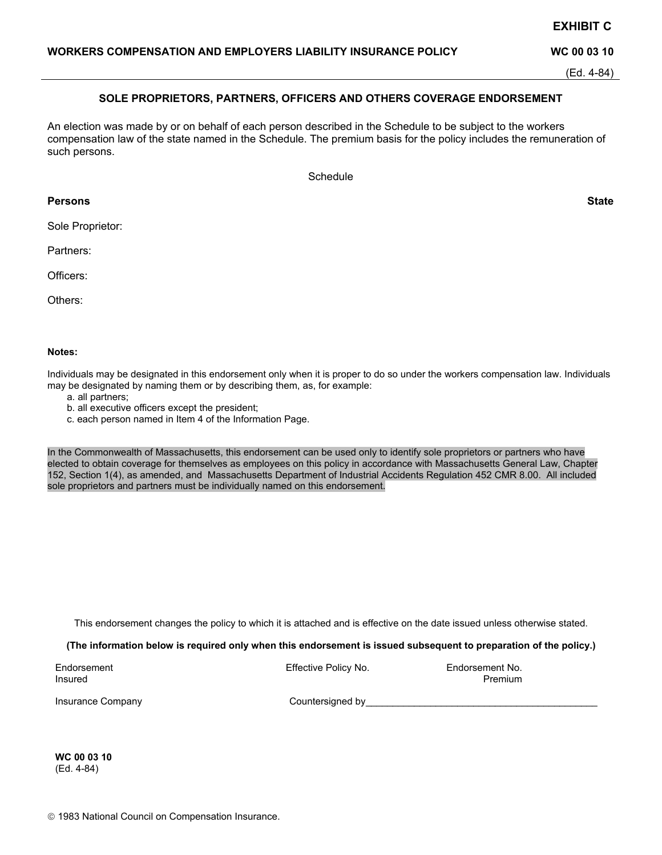An election was made by or on behalf of each person described in the Schedule to be subject to the workers compensation law of the state named in the Schedule. The premium basis for the policy includes the remuneration of such persons.

**SOLE PROPRIETORS, PARTNERS, OFFICERS AND OTHERS COVERAGE ENDORSEMENT** 

 **EXHIBIT C** 

**Schedule** 

## **Persons State**

Sole Proprietor:

Partners:

Officers:

Others:

#### **Notes:**

Individuals may be designated in this endorsement only when it is proper to do so under the workers compensation law. Individuals may be designated by naming them or by describing them, as, for example:

- a. all partners;
- b. all executive officers except the president;
- c. each person named in Item 4 of the Information Page.

In the Commonwealth of Massachusetts, this endorsement can be used only to identify sole proprietors or partners who have elected to obtain coverage for themselves as employees on this policy in accordance with Massachusetts General Law, Chapter 152, Section 1(4), as amended, and Massachusetts Department of Industrial Accidents Regulation 452 CMR 8.00. All included sole proprietors and partners must be individually named on this endorsement.

This endorsement changes the policy to which it is attached and is effective on the date issued unless otherwise stated.

**(The information below is required only when this endorsement is issued subsequent to preparation of the policy.)** 

| Endorsement | Effective Policy No. | Endorsement No. |
|-------------|----------------------|-----------------|
| Insured     |                      | Premium         |

Insurance Company example and the Countersigned by example and the countersigned by the countersigned by the counterside  $\sim$ 

**WC 00 03 10**  (Ed. 4-84)

#### (Ed. 4-84)